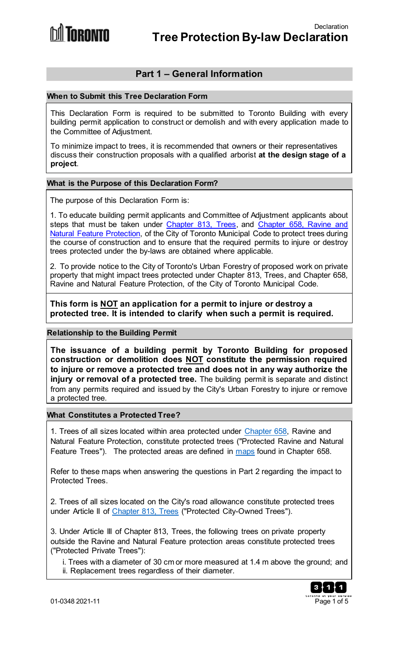TORONTO

### **Part 1 – General Information**

#### **When to Submit this Tree Declaration Form**

This Declaration Form is required to be submitted to Toronto Building with every building permit application to construct or demolish and with every application made to the Committee of Adjustment.

To minimize impact to trees, it is recommended that owners or their representatives discuss their construction proposals with a qualified arborist **at the design stage of a project**.

#### **What is the Purpose of this Declaration Form?**

The purpose of this Declaration Form is:

1. To educate building permit applicants and Committee of Adjustment applicants about steps that must be taken under [Chapter 813, Trees,](https://www.toronto.ca/legdocs/municode/1184_813.pdf) and [Chapter 658, Ravine and](https://www.toronto.ca/legdocs/municode/1184_658.pdf) [Natural Feature Protection,](https://www.toronto.ca/legdocs/municode/1184_658.pdf) of the City of Toronto Municipal Code to protect trees during the course of construction and to ensure that the required permits to injure or destroy trees protected under the by-laws are obtained where applicable.

2. To provide notice to the City of Toronto's Urban Forestry of proposed work on private property that might impact trees protected under Chapter 813, Trees, and Chapter 658, Ravine and Natural Feature Protection, of the City of Toronto Municipal Code.

**This form is NOT an application for a permit to injure or destroy a protected tree. It is intended to clarify when such a permit is required.**

#### **Relationship to the Building Permit**

**The issuance of a building permit by Toronto Building for proposed construction or demolition does NOT constitute the permission required to injure or remove a protected tree and does not in any way authorize the injury or removal of a protected tree.** The building permit is separate and distinct from any permits required and issued by the City's Urban Forestry to injure or remove a protected tree.

#### **What Constitutes a Protected Tree?**

1. Trees of all sizes located within area protected under [Chapter 658,](https://www.toronto.ca/legdocs/municode/1184_658.pdf) Ravine and Natural Feature Protection, constitute protected trees ("Protected Ravine and Natural Feature Trees"). The protected areas are defined in [maps](https://map.toronto.ca/maps/map.jsp?app=TorontoMaps_v2) found in Chapter 658.

Refer to these maps when answering the questions in Part 2 regarding the impact to Protected Trees.

2. Trees of all sizes located on the City's road allowance constitute protected trees under Article II of [Chapter 813, Trees](https://www.toronto.ca/legdocs/municode/1184_813.pdf) ("Protected City-Owned Trees").

3. Under Article III of Chapter 813, Trees, the following trees on private property outside the Ravine and Natural Feature protection areas constitute protected trees ("Protected Private Trees"):

i. Trees with a diameter of 30 cm or more measured at 1.4 m above the ground; and ii. Replacement trees regardless of their diameter.

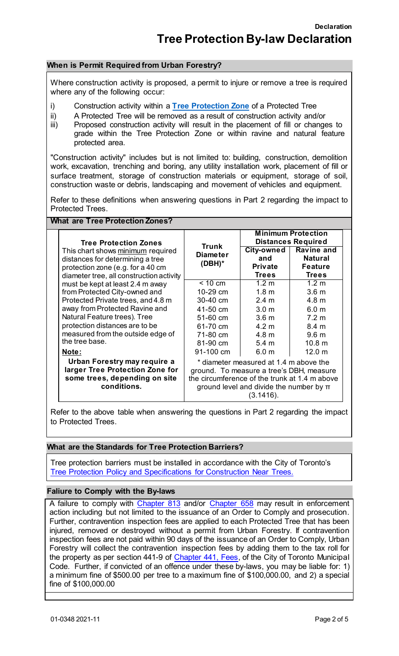#### **When is Permit Required from Urban Forestry?**

Where construction activity is proposed, a permit to injure or remove a tree is required where any of the following occur:

- i) Construction activity within a **[Tree Protection Zone](https://www.toronto.ca/data/parks/pdf/trees/tree-protection-specs.pdf)** of a Protected Tree
- 
- ii) A Protected Tree will be removed as a result of construction activity and/or<br>iii) Proposed construction activity will result in the placement of fill or change Proposed construction activity will result in the placement of fill or changes to grade within the Tree Protection Zone or within ravine and natural feature protected area.

"Construction activity" includes but is not limited to: building, construction, demolition work, excavation, trenching and boring, any utility installation work, placement of fill or surface treatment, storage of construction materials or equipment, storage of soil, construction waste or debris, landscaping and movement of vehicles and equipment.

Refer to these definitions when answering questions in Part 2 regarding the impact to Protected Trees.

#### **What are Tree Protection Zones?**

| <b>Tree Protection Zones</b>                                                                               |                                                          | <b>Minimum Protection</b><br><b>Distances Required</b> |                                                       |  |  |
|------------------------------------------------------------------------------------------------------------|----------------------------------------------------------|--------------------------------------------------------|-------------------------------------------------------|--|--|
| This chart shows minimum required<br>distances for determining a tree<br>protection zone (e.g. for a 40 cm | <b>Trunk</b><br><b>Diameter</b><br>$(DBH)*$              | City-owned<br>and<br><b>Private</b>                    | <b>Ravine and</b><br><b>Natural</b><br><b>Feature</b> |  |  |
| diameter tree, all construction activity<br>must be kept at least 2.4 m away                               | $\overline{5}$ 10 cm                                     | <b>Trees</b><br>1.2 m                                  | <b>Trees</b><br>$\overline{1}$ .2 m                   |  |  |
| from Protected City-owned and                                                                              | 10-29 cm                                                 | 1.8 <sub>m</sub>                                       | 3.6 <sub>m</sub>                                      |  |  |
| Protected Private trees, and 4.8 m                                                                         | 30-40 cm                                                 | 2.4 <sub>m</sub>                                       | 4.8 <sub>m</sub>                                      |  |  |
| away from Protected Ravine and                                                                             | 41-50 cm                                                 | 3.0 <sub>m</sub>                                       | 6.0 <sub>m</sub>                                      |  |  |
| Natural Feature trees). Tree                                                                               | 51-60 cm                                                 | 3.6 <sub>m</sub>                                       | $7.2 \text{ m}$                                       |  |  |
| protection distances are to be                                                                             | 61-70 cm                                                 | 4.2 m                                                  | 8.4 <sub>m</sub>                                      |  |  |
| measured from the outside edge of                                                                          | 71-80 cm                                                 | 4.8 <sub>m</sub>                                       | 9.6 <sub>m</sub>                                      |  |  |
| the tree base.                                                                                             | 81-90 cm                                                 | 5.4 <sub>m</sub>                                       | 10.8 <sub>m</sub>                                     |  |  |
| <u>Note:</u>                                                                                               | 91-100 cm                                                | 6.0 <sub>m</sub>                                       | $12.0 \text{ m}$                                      |  |  |
| Urban Forestry may require a                                                                               | * diameter measured at 1.4 m above the                   |                                                        |                                                       |  |  |
| larger Tree Protection Zone for                                                                            | ground. To measure a tree's DBH, measure                 |                                                        |                                                       |  |  |
| some trees, depending on site                                                                              | the circumference of the trunk at 1.4 m above            |                                                        |                                                       |  |  |
| conditions.                                                                                                | ground level and divide the number by $\pi$<br>(3.1416). |                                                        |                                                       |  |  |

Refer to the above table when answering the questions in Part 2 regarding the impact to Protected Trees.

#### **What are the Standards for Tree Protection Barriers?**

Tree protection barriers must be installed in accordance with the City of Toronto's [Tree Protection Policy and Specifications for Construction Near Trees](https://www.toronto.ca/legdocs/municode/1184_658.pdf)*.*

#### **Faliure to Comply with the By-laws**

A failure to comply with [Chapter 813](https://www.toronto.ca/legdocs/municode/1184_813.pdf) and/or [Chapter 658](https://www.toronto.ca/legdocs/municode/1184_658.pdf) may result in enforcement action including but not limited to the issuance of an Order to Comply and prosecution. Further, contravention inspection fees are applied to each Protected Tree that has been injured, removed or destroyed without a permit from Urban Forestry. If contravention inspection fees are not paid within 90 days of the issuance of an Order to Comply, Urban Forestry will collect the contravention inspection fees by adding them to the tax roll for the property as per section 441-9 of [Chapter 441, Fees,](https://www.toronto.ca/legdocs/municode/1184_441.pdf) of the City of Toronto Municipal Code. Further, if convicted of an offence under these by-laws, you may be liable for: 1) a minimum fine of \$500.00 per tree to a maximum fine of \$100,000.00, and 2) a special fine of \$100,000.00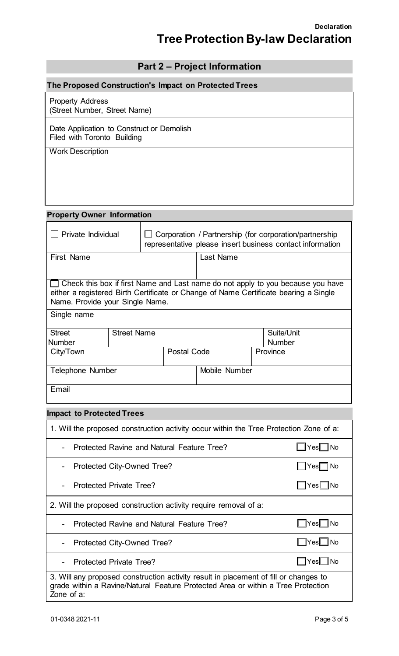## **Tree Protection By-law Declaration**

## **Part 2 – Project Information**

## **The Proposed Construction's Impact on Protected Trees**

| <b>Property Address</b><br>(Street Number, Street Name)                  |
|--------------------------------------------------------------------------|
| Date Application to Construct or Demolish<br>Filed with Toronto Building |
| <b>Work Description</b>                                                  |
|                                                                          |
|                                                                          |

#### **Property Owner Information**

| Private Individual                                                                                                                                                                                         |                    | Corporation / Partnership (for corporation/partnership<br>representative please insert business contact information |                    |  |  |               |
|------------------------------------------------------------------------------------------------------------------------------------------------------------------------------------------------------------|--------------------|---------------------------------------------------------------------------------------------------------------------|--------------------|--|--|---------------|
| First Name                                                                                                                                                                                                 |                    | Last Name                                                                                                           |                    |  |  |               |
|                                                                                                                                                                                                            |                    |                                                                                                                     |                    |  |  |               |
| Check this box if first Name and Last name do not apply to you because you have<br>either a registered Birth Certificate or Change of Name Certificate bearing a Single<br>Name. Provide your Single Name. |                    |                                                                                                                     |                    |  |  |               |
| Single name                                                                                                                                                                                                |                    |                                                                                                                     |                    |  |  |               |
| <b>Street</b>                                                                                                                                                                                              | <b>Street Name</b> |                                                                                                                     |                    |  |  | Suite/Unit    |
| <b>Number</b>                                                                                                                                                                                              |                    |                                                                                                                     |                    |  |  | <b>Number</b> |
| City/Town                                                                                                                                                                                                  |                    |                                                                                                                     | <b>Postal Code</b> |  |  | Province      |
| <b>Telephone Number</b>                                                                                                                                                                                    |                    | Mobile Number                                                                                                       |                    |  |  |               |
| Email                                                                                                                                                                                                      |                    |                                                                                                                     |                    |  |  |               |

#### **Impact to Protected Trees**

| 1. Will the proposed construction activity occur within the Tree Protection Zone of a:                                                                                                 |                      |  |  |  |
|----------------------------------------------------------------------------------------------------------------------------------------------------------------------------------------|----------------------|--|--|--|
| Protected Ravine and Natural Feature Tree?                                                                                                                                             | ∐Yes∏No              |  |  |  |
| Protected City-Owned Tree?<br>-                                                                                                                                                        | l__ Yes∏<br>l No     |  |  |  |
| <b>Protected Private Tree?</b>                                                                                                                                                         | ∐Yes∐No              |  |  |  |
| 2. Will the proposed construction activity require removal of a:                                                                                                                       |                      |  |  |  |
| Protected Ravine and Natural Feature Tree?                                                                                                                                             | $\Box$ Yes $\Box$ No |  |  |  |
| Protected City-Owned Tree?<br>-                                                                                                                                                        | $\Box$ Yes $\Box$ No |  |  |  |
| <b>Protected Private Tree?</b>                                                                                                                                                         | ∏ Yes∐ No            |  |  |  |
| 3. Will any proposed construction activity result in placement of fill or changes to<br>grade within a Ravine/Natural Feature Protected Area or within a Tree Protection<br>Zone of a: |                      |  |  |  |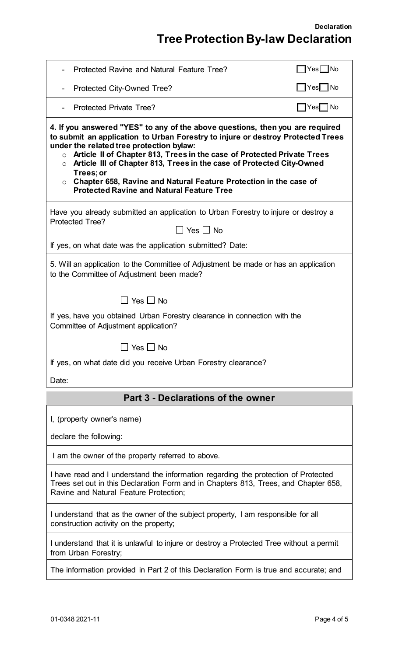**Declaration**

# **Tree Protection By-law Declaration**

| Protected Ravine and Natural Feature Tree?                                                                                                                                                                                                                                                                                                                                                                                                                                                                                               | ∏Yes∏ No                   |  |  |  |
|------------------------------------------------------------------------------------------------------------------------------------------------------------------------------------------------------------------------------------------------------------------------------------------------------------------------------------------------------------------------------------------------------------------------------------------------------------------------------------------------------------------------------------------|----------------------------|--|--|--|
| Protected City-Owned Tree?                                                                                                                                                                                                                                                                                                                                                                                                                                                                                                               | _ Yes∏ No                  |  |  |  |
| <b>Protected Private Tree?</b>                                                                                                                                                                                                                                                                                                                                                                                                                                                                                                           | $\bigcap$ Yes $\bigcap$ No |  |  |  |
| 4. If you answered "YES" to any of the above questions, then you are required<br>to submit an application to Urban Forestry to injure or destroy Protected Trees<br>under the related tree protection bylaw:<br>$\circ$ Article II of Chapter 813, Trees in the case of Protected Private Trees<br><b>Article III of Chapter 813, Trees in the case of Protected City-Owned</b><br>$\circ$<br>Trees; or<br>$\circ$ Chapter 658, Ravine and Natural Feature Protection in the case of<br><b>Protected Ravine and Natural Feature Tree</b> |                            |  |  |  |
| Have you already submitted an application to Urban Forestry to injure or destroy a<br><b>Protected Tree?</b>                                                                                                                                                                                                                                                                                                                                                                                                                             |                            |  |  |  |
| $\square$ Yes $\square$ No                                                                                                                                                                                                                                                                                                                                                                                                                                                                                                               |                            |  |  |  |
| If yes, on what date was the application submitted? Date:                                                                                                                                                                                                                                                                                                                                                                                                                                                                                |                            |  |  |  |
| 5. Will an application to the Committee of Adjustment be made or has an application<br>to the Committee of Adjustment been made?                                                                                                                                                                                                                                                                                                                                                                                                         |                            |  |  |  |
| $\square$ Yes $\square$ No                                                                                                                                                                                                                                                                                                                                                                                                                                                                                                               |                            |  |  |  |
| If yes, have you obtained Urban Forestry clearance in connection with the<br>Committee of Adjustment application?                                                                                                                                                                                                                                                                                                                                                                                                                        |                            |  |  |  |
| $\Box$ Yes $\Box$ No                                                                                                                                                                                                                                                                                                                                                                                                                                                                                                                     |                            |  |  |  |
| If yes, on what date did you receive Urban Forestry clearance?                                                                                                                                                                                                                                                                                                                                                                                                                                                                           |                            |  |  |  |
| Date:                                                                                                                                                                                                                                                                                                                                                                                                                                                                                                                                    |                            |  |  |  |
| Part 3 - Declarations of the owner                                                                                                                                                                                                                                                                                                                                                                                                                                                                                                       |                            |  |  |  |
| I, (property owner's name)                                                                                                                                                                                                                                                                                                                                                                                                                                                                                                               |                            |  |  |  |
| declare the following:                                                                                                                                                                                                                                                                                                                                                                                                                                                                                                                   |                            |  |  |  |
| I am the owner of the property referred to above.                                                                                                                                                                                                                                                                                                                                                                                                                                                                                        |                            |  |  |  |
| I have read and I understand the information regarding the protection of Protected<br>Trees set out in this Declaration Form and in Chapters 813, Trees, and Chapter 658,<br>Ravine and Natural Feature Protection;                                                                                                                                                                                                                                                                                                                      |                            |  |  |  |
| I understand that as the owner of the subject property, I am responsible for all<br>construction activity on the property;                                                                                                                                                                                                                                                                                                                                                                                                               |                            |  |  |  |
| I understand that it is unlawful to injure or destroy a Protected Tree without a permit<br>from Urban Forestry;                                                                                                                                                                                                                                                                                                                                                                                                                          |                            |  |  |  |
| The information provided in Part 2 of this Declaration Form is true and accurate; and                                                                                                                                                                                                                                                                                                                                                                                                                                                    |                            |  |  |  |
|                                                                                                                                                                                                                                                                                                                                                                                                                                                                                                                                          |                            |  |  |  |